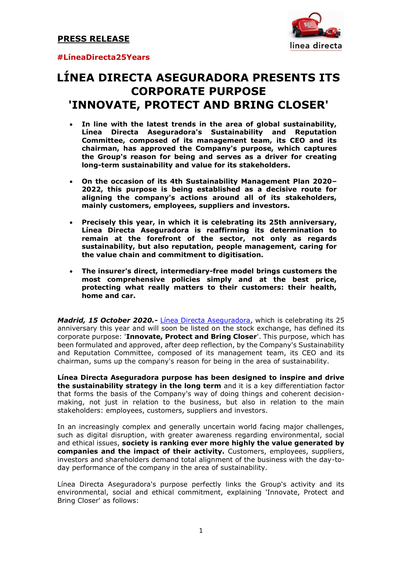

### **#LíneaDirecta25Years**

# **LÍNEA DIRECTA ASEGURADORA PRESENTS ITS CORPORATE PURPOSE 'INNOVATE, PROTECT AND BRING CLOSER'**

- **In line with the latest trends in the area of global sustainability, Línea Directa Aseguradora's Sustainability and Reputation Committee, composed of its management team, its CEO and its chairman, has approved the Company's purpose, which captures the Group's reason for being and serves as a driver for creating long-term sustainability and value for its stakeholders.**
- **On the occasion of its 4th Sustainability Management Plan 2020– 2022, this purpose is being established as a decisive route for aligning the company's actions around all of its stakeholders, mainly customers, employees, suppliers and investors.**
- **Precisely this year, in which it is celebrating its 25th anniversary, Línea Directa Aseguradora is reaffirming its determination to remain at the forefront of the sector, not only as regards sustainability, but also reputation, people management, caring for the value chain and commitment to digitisation.**
- **The insurer's direct, intermediary-free model brings customers the most comprehensive policies simply and at the best price, protecting what really matters to their customers: their health, home and car.**

*Madrid, 15 October 2020.-* [Línea Directa Aseguradora,](file:///C:/Users/ldarvr/AppData/Local/Microsoft/Windows/INetCache/Content.Outlook/QRU2ZLSA/info.lineadirecta.com) which is celebrating its 25 anniversary this year and will soon be listed on the stock exchange, has defined its corporate purpose: '**Innovate, Protect and Bring Closer**'. This purpose, which has been formulated and approved, after deep reflection, by the Company's Sustainability and Reputation Committee, composed of its management team, its CEO and its chairman, sums up the company's reason for being in the area of sustainability.

**Línea Directa Aseguradora purpose has been designed to inspire and drive the sustainability strategy in the long term** and it is a key differentiation factor that forms the basis of the Company's way of doing things and coherent decisionmaking, not just in relation to the business, but also in relation to the main stakeholders: employees, customers, suppliers and investors.

In an increasingly complex and generally uncertain world facing major challenges, such as digital disruption, with greater awareness regarding environmental, social and ethical issues, **society is ranking ever more highly the value generated by companies and the impact of their activity.** Customers, employees, suppliers, investors and shareholders demand total alignment of the business with the day-today performance of the company in the area of sustainability.

Línea Directa Aseguradora's purpose perfectly links the Group's activity and its environmental, social and ethical commitment, explaining 'Innovate, Protect and Bring Closer' as follows: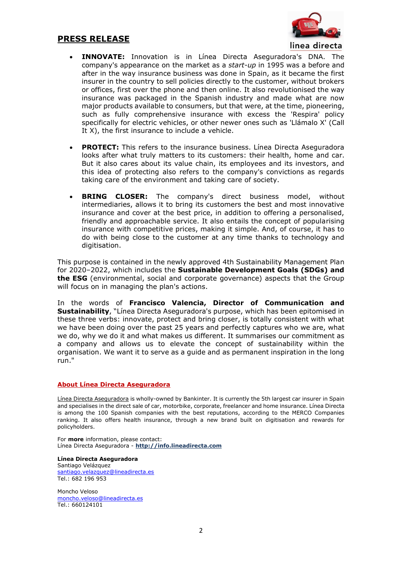## **PRESS RELEASE**



- **INNOVATE:** Innovation is in Línea Directa Aseguradora's DNA. The company's appearance on the market as a *start-up* in 1995 was a before and after in the way insurance business was done in Spain, as it became the first insurer in the country to sell policies directly to the customer, without brokers or offices, first over the phone and then online. It also revolutionised the way insurance was packaged in the Spanish industry and made what are now major products available to consumers, but that were, at the time, pioneering, such as fully comprehensive insurance with excess the 'Respira' policy specifically for electric vehicles, or other newer ones such as 'Llámalo X' (Call It X), the first insurance to include a vehicle.
- **PROTECT:** This refers to the insurance business. Línea Directa Aseguradora looks after what truly matters to its customers: their health, home and car. But it also cares about its value chain, its employees and its investors, and this idea of protecting also refers to the company's convictions as regards taking care of the environment and taking care of society.
- **BRING CLOSER:** The company's direct business model, without intermediaries, allows it to bring its customers the best and most innovative insurance and cover at the best price, in addition to offering a personalised, friendly and approachable service. It also entails the concept of popularising insurance with competitive prices, making it simple. And, of course, it has to do with being close to the customer at any time thanks to technology and digitisation.

This purpose is contained in the newly approved 4th Sustainability Management Plan for 2020–2022, which includes the **Sustainable Development Goals (SDGs) and the ESG** (environmental, social and corporate governance) aspects that the Group will focus on in managing the plan's actions.

In the words of **Francisco Valencia, Director of Communication and Sustainability**, "Línea Directa Aseguradora's purpose, which has been epitomised in these three verbs: innovate, protect and bring closer, is totally consistent with what we have been doing over the past 25 years and perfectly captures who we are, what we do, why we do it and what makes us different. It summarises our commitment as a company and allows us to elevate the concept of sustainability within the organisation. We want it to serve as a guide and as permanent inspiration in the long run."

#### **About Línea Directa Aseguradora**

[Línea Directa Aseguradora](https://www.lineadirecta.com/LDAWeb/home.init.faces) is wholly-owned by Bankinter. It is currently the 5th largest car insurer in Spain and specialises in the direct sale of car, motorbike, corporate, freelancer and home insurance. Línea Directa is among the 100 Spanish companies with the best reputations, according to the MERCO Companies ranking. It also offers health insurance, through a new brand built on digitisation and rewards for policyholders.

For **more** information, please contact: Línea Directa Aseguradora - **[http://info.lineadirecta.com](http://info.lineadirecta.com/)**

**Línea Directa Aseguradora** Santiago Velázquez [santiago.velazquez@lineadirecta.es](mailto:santiago.velazquez@lineadirecta.es) Tel.: 682 196 953

Moncho Veloso [moncho.veloso@lineadirecta.es](mailto:moncho.veloso@lineadirecta.es) Tel.: 660124101